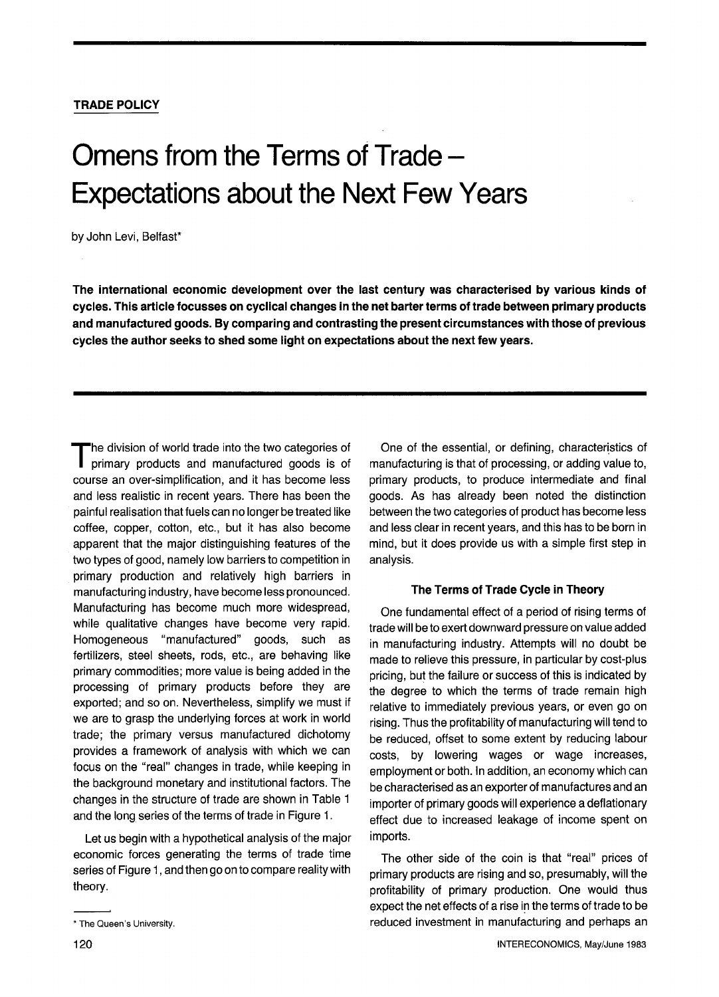# **TRADE POLICY**

# **Omens from the Terms of Trade-Expectations about the Next Few Years**

by John Levi, Belfast\*

**The international economic development over the last century was characterised by various kinds of cycles. This article focusses on cyclical changes in the net barter terms of trade between primary products and manufactured goods. By comparing and contrasting the present circumstances with those of previous cycles the author seeks to shed some light on expectations about the next few years.** 

The division of world trade into the two categories of primary products and manufactured goods is of course an over-simplification, and it has become less and less realistic in recent years. There has been the painful realisation that fuels can no longer be treated like coffee, copper, cotton, etc., but it has also become apparent that the major distinguishing features of the two types of good, namely low barriers to competition in primary production and relatively high barriers in manufacturing industry, have become less pronounced. Manufacturing has become much more widespread, while qualitative changes have become very rapid. Homogeneous "manufactured" goods, such as fertilizers, steel sheets, rods, etc., are behaving like primary commodities; more value is being added in the processing of primary products before they are exported; and so on. Nevertheless, simplify we must if we are to grasp the underlying forces at work in world trade; the primary versus manufactured dichotomy provides a framework of analysis with which we can focus on the "real" changes in trade, while keeping in the background monetary and institutional factors. The changes in the structure of trade are shown in Table 1 and the long series of the terms of trade in Figure 1.

Let us begin with a hypothetical analysis of the major economic forces generating the terms of trade time series of Figure 1, and then go on to compare reality with theory.

One of the essential, or defining, characteristics of manufacturing is that of processing, or adding value to, primary products, to produce intermediate and final goods. As has already been noted the distinction between the two categories of product has become less and less clear in recent years, and this has to be born in mind, but it does provide us with a simple first step in analysis.

## **The Terms of Trade Cycle in Theory**

One fundamental effect of a period of rising terms of trade will be to exert downward pressure on value added in manufacturing industry. Attempts will no doubt be made to relieve this pressure, in particular by cost-plus pricing, but the failure or success of this is indicated by the degree to which the terms of trade remain high relative to immediately previous years, or even go on rising. Thus the profitability of manufacturing will tend to be reduced, offset to some extent by reducing labour costs, by lowering wages or wage increases, employment or both. In addition, an economy which can be characterised as an exporter of manufactures and an importer of primary goods will experience a deflationary effect due to increased leakage of income spent on imports.

The other side of the coin is that "real" prices of primary products are rising and so, presumably, will the profitability of primary production. One would thus expect the net effects of a rise in the terms of trade to be reduced investment in manufacturing and perhaps an

<sup>\*</sup> The Queen's University.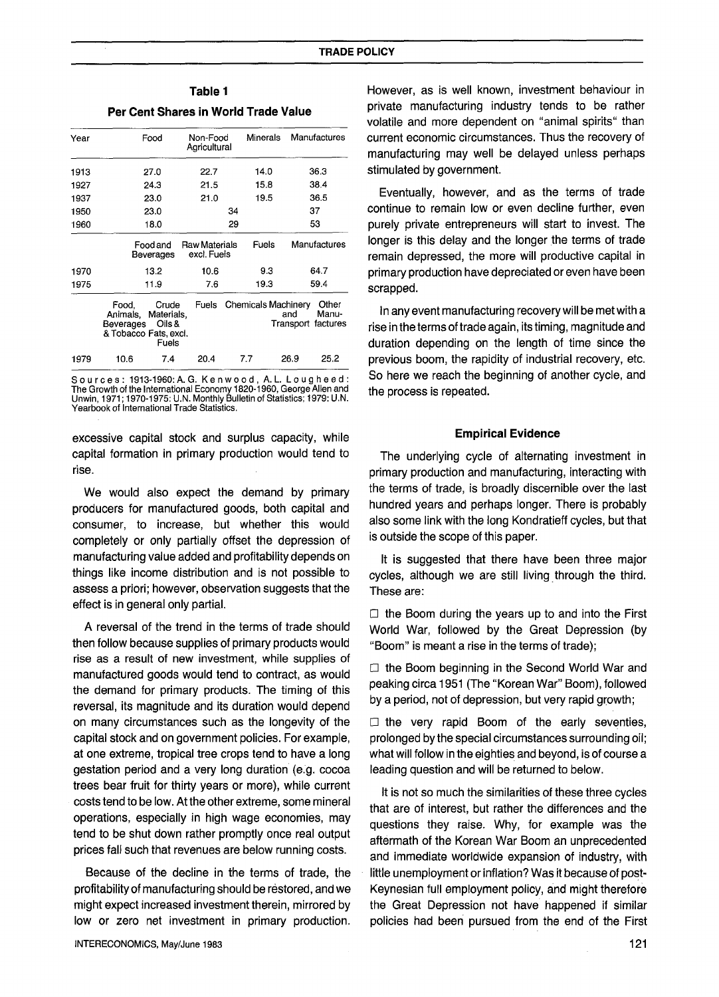| Year                                                                                                              | Food                  | Non-Food<br>Agricultural            | Minerals |                                                         | Manufactures   |  |
|-------------------------------------------------------------------------------------------------------------------|-----------------------|-------------------------------------|----------|---------------------------------------------------------|----------------|--|
| 1913                                                                                                              | 27.0                  | 22.7                                | 14.0     |                                                         | 36.3           |  |
| 1927                                                                                                              | 24.3                  | 21.5                                | 15.8     |                                                         | 38.4           |  |
| 1937                                                                                                              | 23.0                  | 21.0                                | 19.5     |                                                         | 36.5           |  |
| 1950                                                                                                              | 23.0                  | 34                                  |          |                                                         | 37             |  |
| 1960                                                                                                              | 18.0                  | 29                                  |          |                                                         | 53             |  |
|                                                                                                                   | Food and<br>Beverages | <b>Raw Materials</b><br>excl. Fuels | Fuels    |                                                         | Manufactures   |  |
| 1970                                                                                                              | 13.2                  | 10.6                                | 93       |                                                         | 64.7           |  |
| 1975                                                                                                              | 11.9                  | 7.6                                 | 19.3     |                                                         | 59.4           |  |
| <b>Fuels</b><br>Crude<br>Food,<br>Materials.<br>Animals,<br>Oils &<br>Beverages<br>& Tobacco Fats, excl.<br>Fuels |                       |                                     |          | <b>Chemicals Machinery</b><br>and<br>Transport factures | Other<br>Manu- |  |
| 1979                                                                                                              | 7.4<br>10.6           | 20.4                                | 7.7      | 26.9                                                    | 25.2           |  |

# **Table 1 Per Cent Shares in World Trade Value**

S o u r c e s : 1913-1960: A. G. K e n w o o d , A. L. L o u g h e e d :<br>The Growth of the International Economy 1820-1960, George Allen and<br>Unwin, 1971; 1970-1975: U.N. Monthly Bulletin of Statistics; 1979: U.N. Yearbook of International Trade Statistics.

excessive capital stock and surplus capacity, while capital formation in primary production would tend to rise.

We would also expect the demand by primary producers for manufactured goods, both capital and consumer, to increase, but whether this would completely or only partially offset the depression of manufacturing value added and profitability depends on things like income distribution and is not possible to assess a priori; however, observation suggests that the effect is in general only partial.

A reversal of the trend in the terms of trade should then follow because supplies of primary products would rise as a result of new investment, while supplies of manufactured goods would tend to contract, as would the demand for primary products. The timing of this reversal, its magnitude and its duration would depend on many circumstances such as the longevity of the capital stock and on government policies. For example, at one extreme, tropical tree crops tend to have a long gestation period and a very long duration (e.g. cocoa trees bear fruit for thirty years or more), while current costs tend to be low. At the other extreme, some mineral operations, especially in high wage economies, may tend to be shut down rather promptly once real output prices fall such that revenues are below running costs.

Because of the decline in the terms of trade, the profitability of manufacturing should be restored, and we might expect increased investment therein, mirrored by low or zero net investment in primary production. However, as is well known, investment behaviour in private manufacturing industry tends to be rather volatile and more dependent on "animal spirits" than current economic circumstances. Thus the recovery of manufacturing may well be delayed unless perhaps stimulated by government.

Eventually, however, and as the terms of trade continue to remain low or even decline further, even purely private entrepreneurs will start to invest. The longer is this delay and the longer the terms of trade remain depressed, the more will productive capital in primary production have depreciated or even have been scrapped.

In any event manufacturing recovery will be met with a rise in the terms of trade again, its timing, magnitude and duration depending on the length of time since the previous boom, the rapidity of industrial recovery, etc. So here we reach the beginning of another cycle, and the process is repeated.

#### **Empirical Evidence**

The underlying cycle of alternating investment in primary production and manufacturing, interacting with the terms of trade, is broadly discernible over the last hundred years and perhaps longer. There is probably also some link with the long Kondratieff cycles, but that is outside the scope of this paper.

It is suggested that there have been three major cycles, although we are still living through the third. These are:

 $\Box$  the Boom during the years up to and into the First World War, followed by the Great Depression (by "Boom" is meant a rise in the terms of trade);

 $\Box$  the Boom beginning in the Second World War and peaking circa 1951 (The "Korean War" Boom), followed by a period, not of depression, but very rapid growth;

 $\Box$  the very rapid Boom of the early seventies, prolonged by the special circumstances surrounding oil; what will follow in the eighties and beyond, is of course a leading question and will be returned to below.

It is not so much the similarities of these three cycles that are of interest, but rather the differences and the questions they raise. Why, for example was the aftermath of the Korean War Boom an unprecedented and immediate worldwide expansion of industry, with little unemployment or inflation? Was it because of post-Keynesian full employment policy, and might therefore the Great Depression not have happened if similar policies had been pursued from the end of the First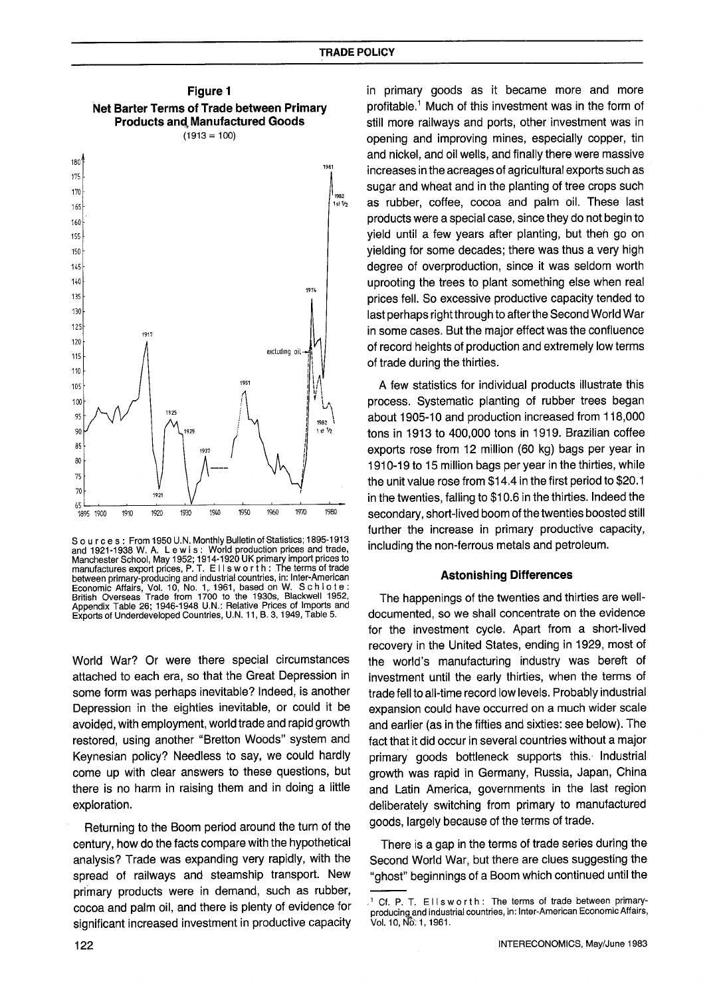

S o u r c e s : From 1950 U.N. Monthly Bulletin of Statistics; 1895-1913 and 1921-1938 W. A. L e w is: World production prices and trade, Manchester School, May 1952; 1914-1920 UK primary import prices to manufactures export prices, P.T. Ellsworth: The terms of trade between primary-producing and industrial countries, in: Inter-American Economic Affairs, Vol. 10, No. 1,. 1961, based on W. S c h 1 o t e : British Overseas Trade from 1700 to the 1930s, Blackwell 1952, Appendix Table 26; 1946-1948 U.N.: Relative Prices of Imports and Exports of Underdeveloped Countries, U.N. 11, B. 3, 1949, Table 5.

World War? Or were there special circumstances attached to each era, so that the Great Depression in some form was perhaps inevitable? Indeed, is another Depression in the eighties inevitable, or could it be avoided, with employment, world trade and rapid growth restored, using another "Bretton Woods" system and Keynesian policy? Needless to say, we could hardly come up with clear answers to these questions, but there is no harm in raising them and in doing a little exploration.

Returning to the Boom period around the turn of the century, how do the facts compare with the hypothetical analysis? Trade was expanding very rapidly, with the spread of railways and steamship transport. New primary products were in demand, such as rubber, cocoa and palm oil, and there is plenty of evidence for significant increased investment in productive capacity in primary goods as it became more and more profitable? Much of this investment was in the form of still more railways and ports, other investment was in opening and improving mines, especially copper, tin and nickel, and oil wells, and finally there were massive increases in the acreages of agricultural exports such as sugar and wheat and in the planting of tree crops such as rubber, coffee, cocoa and palm oil. These last products were a special case, since they do not begin to yield until a few years after planting, but theh go on yielding for some decades; there was thus a very high degree of overproduction, since it was seldom worth uprooting the trees to plant something else when real prices fell. So excessive productive capacity tended to last perhaps right through to after the Second World War in some cases. But the major effect was the confluence of record heights of production and extremely low terms of trade during the thirties.

A few statistics for individual products illustrate this process. Systematic planting of rubber trees began about 1905-10 and production increased from 118,000 tons in 1913 to 400,000 tons in 1919. Brazilian coffee exports rose from 12 million (60 kg) bags per year in 1910-19 to 15 million bags per year in the thirties, while the unit value rose from \$14.4 in the first period to \$20.1 in the twenties, falling to \$10.6 in the thirties. Indeed the secondary, short-lived boom of the twenties boosted still further the increase in primary productive capacity, including the non-ferrous metals and petroleum.

#### **Astonishing Differences**

The happenings of the twenties and thirties are welldocumented, so we shall concentrate on the evidence for the investment cycle. Apart from a short-lived recovery in the United States, ending in 1929, most of the world's manufacturing industry was bereft of investment until the early thirties, when the terms of trade fell to all-time record low levels. Probably industrial expansion could have occurred on a much wider scale and earlier (as in the fifties and sixties: see below). The fact that it did occur in several countries without a major primary goods bottleneck supports this. Industrial growth was rapid in Germany, Russia, Japan, China and Latin America, governments in the last region deliberately switching from primary to manufactured goods, largely because of the terms of trade.

There is a gap in the terms of trade series during the Second World War, but there are clues suggesting the "ghost" beginnings of a Boom which continued until the

Cf. P. T. Ellsworth: The terms of trade between primaryproducing and industrial countries, in: Inter-American Economic Affairs, Vol. 10, Nô. 1, 1961.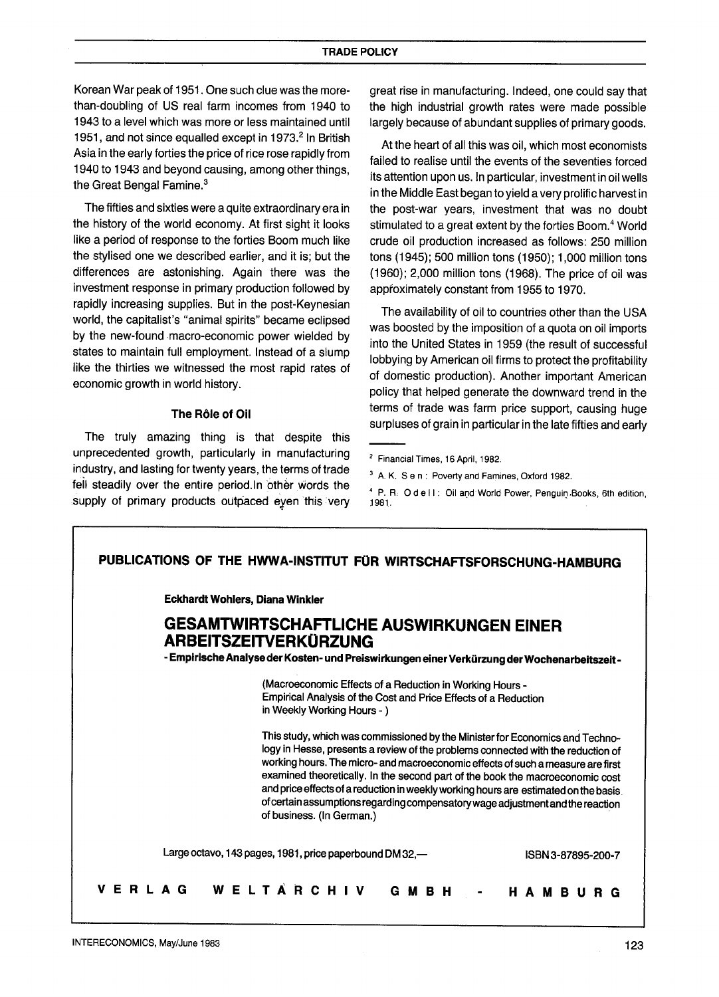Korean War peak of 1951. One such clue was the morethan-doubling of US real farm incomes from 1940 to 1943 to a level which was more or less maintained until 1951, and not since equalled except in 1973.<sup>2</sup> In British Asia in the early forties the price of rice rose rapidly from 1940 to 1943 and beyond causing, among other things, the Great Bengal Famine.<sup>3</sup>

The fifties and sixties were a quite extraordinary era in the history of the world economy. At first sight it looks like a period of response to the forties Boom much like the stylised one we described earlier, and it is; but the differences are astonishing. Again there was the investment response in primary production followed by rapidly increasing supplies. But in the post-Keynesian world, the capitalist's "animal spirits" became eclipsed by the new-found macro-economic power wielded by states to maintain full employment. Instead of a slump like the thirties we witnessed the most rapid rates of economic growth in world history.

## **The R61e of Oil**

The truly amazing thing is that despite this unprecedented growth, particularly in manufacturing industry, and lasting for twenty years, the terms of trade fell steadily over the entire period. In other words the supply of primary products outpaced eyen this very

great rise in manufacturing. Indeed, one could say that the high industrial growth rates were made possible largely because of abundant supplies of primary goods.

At the heart of all this was oil, which most economists failed to realise until the events of the seventies forced its attention upon us. In particular, investment in oil wells in the Middle East began to yield a very prolific harvest in the post-war years, investment that was no doubt stimulated to a great extent by the forties Boom.<sup>4</sup> World crude oil production increased as follows: 250 million tons (1945); 500 million tons (1950); 1,000 million tons (1960); 2,000 million tons (1968). The price of oil was approximately constant from 1955 to 1970.

The availability of oil to countries other than the USA was boosted by the imposition of a quota on oil imports into the United States in 1959 (the result of successful lobbying by American oil firms to protect the profitability of domestic production). Another important American policy that helped generate the downward trend in the terms of trade was farm price support, causing huge surpluses of grain in particular in the late fifties and early

<sup>&</sup>lt;sup>4</sup> P. R. O d e II: Oil and World Power, Penguin Books, 6th edition, :1981.



<sup>2</sup> Financial Times, 16 April, 1982.

<sup>3</sup> A. K. S e n : Poverty and Famines, Oxford 1982.